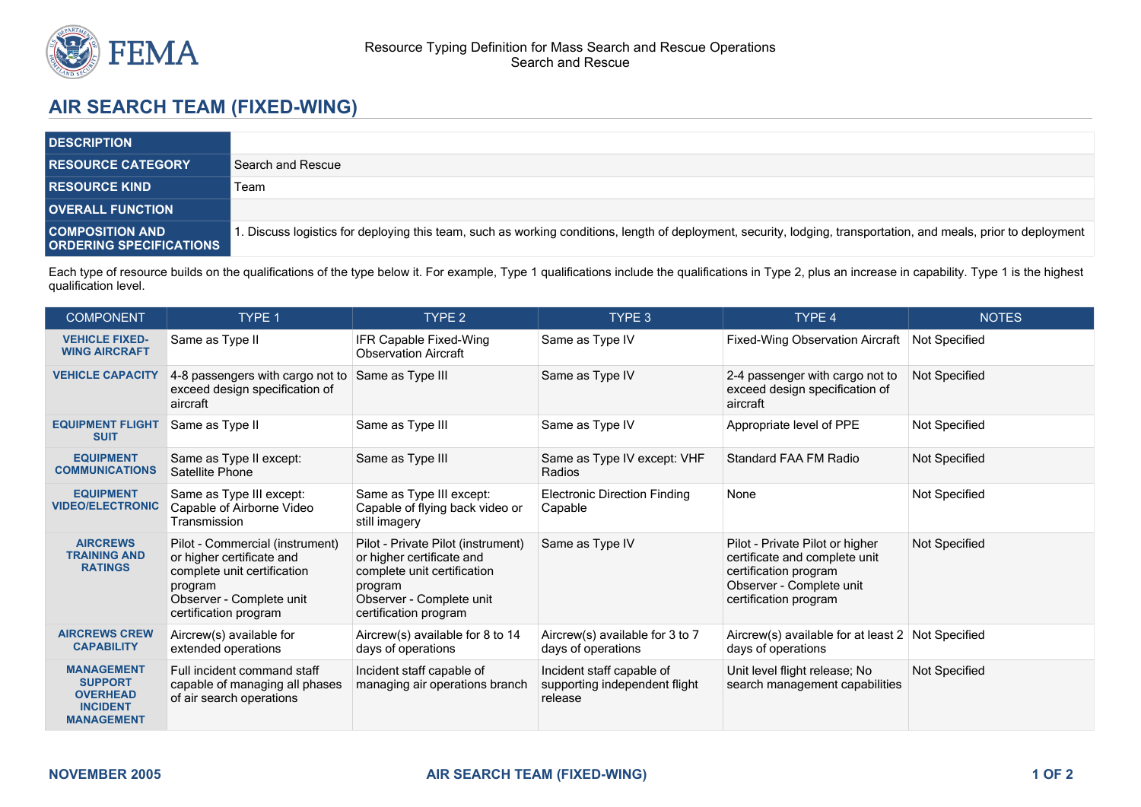

## **AIR SEARCH TEAM (FIXED-WING)**

| <b>DESCRIPTION</b>                                       |                                                                                                                                                                  |
|----------------------------------------------------------|------------------------------------------------------------------------------------------------------------------------------------------------------------------|
| <b>RESOURCE CATEGORY</b>                                 | Search and Rescue                                                                                                                                                |
| <b>RESOURCE KIND</b>                                     | Team                                                                                                                                                             |
| <b>OVERALL FUNCTION</b>                                  |                                                                                                                                                                  |
| <b>COMPOSITION AND</b><br><b>ORDERING SPECIFICATIONS</b> | . Discuss logistics for deploying this team, such as working conditions, length of deployment, security, lodging, transportation, and meals, prior to deployment |

Each type of resource builds on the qualifications of the type below it. For example, Type 1 qualifications include the qualifications in Type 2, plus an increase in capability. Type 1 is the highest qualification level.

| <b>COMPONENT</b>                                                                               | TYPE 1                                                                                                                                                      | TYPE <sub>2</sub>                                                                                                                                              | TYPE 3                                                                | TYPE 4                                                                                                                                         | <b>NOTES</b>  |
|------------------------------------------------------------------------------------------------|-------------------------------------------------------------------------------------------------------------------------------------------------------------|----------------------------------------------------------------------------------------------------------------------------------------------------------------|-----------------------------------------------------------------------|------------------------------------------------------------------------------------------------------------------------------------------------|---------------|
| <b>VEHICLE FIXED-</b><br><b>WING AIRCRAFT</b>                                                  | Same as Type II                                                                                                                                             | IFR Capable Fixed-Wing<br><b>Observation Aircraft</b>                                                                                                          | Same as Type IV                                                       | <b>Fixed-Wing Observation Aircraft</b>                                                                                                         | Not Specified |
| <b>VEHICLE CAPACITY</b>                                                                        | 4-8 passengers with cargo not to<br>exceed design specification of<br>aircraft                                                                              | Same as Type III                                                                                                                                               | Same as Type IV                                                       | 2-4 passenger with cargo not to<br>exceed design specification of<br>aircraft                                                                  | Not Specified |
| <b>EQUIPMENT FLIGHT</b><br><b>SUIT</b>                                                         | Same as Type II                                                                                                                                             | Same as Type III                                                                                                                                               | Same as Type IV                                                       | Appropriate level of PPE                                                                                                                       | Not Specified |
| <b>EQUIPMENT</b><br><b>COMMUNICATIONS</b>                                                      | Same as Type II except:<br>Satellite Phone                                                                                                                  | Same as Type III                                                                                                                                               | Same as Type IV except: VHF<br>Radios                                 | Standard FAA FM Radio                                                                                                                          | Not Specified |
| <b>EQUIPMENT</b><br><b>VIDEO/ELECTRONIC</b>                                                    | Same as Type III except:<br>Capable of Airborne Video<br>Transmission                                                                                       | Same as Type III except:<br>Capable of flying back video or<br>still imagery                                                                                   | <b>Electronic Direction Finding</b><br>Capable                        | None                                                                                                                                           | Not Specified |
| <b>AIRCREWS</b><br><b>TRAINING AND</b><br><b>RATINGS</b>                                       | Pilot - Commercial (instrument)<br>or higher certificate and<br>complete unit certification<br>program<br>Observer - Complete unit<br>certification program | Pilot - Private Pilot (instrument)<br>or higher certificate and<br>complete unit certification<br>program<br>Observer - Complete unit<br>certification program | Same as Type IV                                                       | Pilot - Private Pilot or higher<br>certificate and complete unit<br>certification program<br>Observer - Complete unit<br>certification program | Not Specified |
| <b>AIRCREWS CREW</b><br><b>CAPABILITY</b>                                                      | Aircrew(s) available for<br>extended operations                                                                                                             | Aircrew(s) available for 8 to 14<br>days of operations                                                                                                         | Aircrew(s) available for 3 to 7<br>days of operations                 | Aircrew(s) available for at least 2 Not Specified<br>days of operations                                                                        |               |
| <b>MANAGEMENT</b><br><b>SUPPORT</b><br><b>OVERHEAD</b><br><b>INCIDENT</b><br><b>MANAGEMENT</b> | Full incident command staff<br>capable of managing all phases<br>of air search operations                                                                   | Incident staff capable of<br>managing air operations branch                                                                                                    | Incident staff capable of<br>supporting independent flight<br>release | Unit level flight release; No<br>search management capabilities                                                                                | Not Specified |